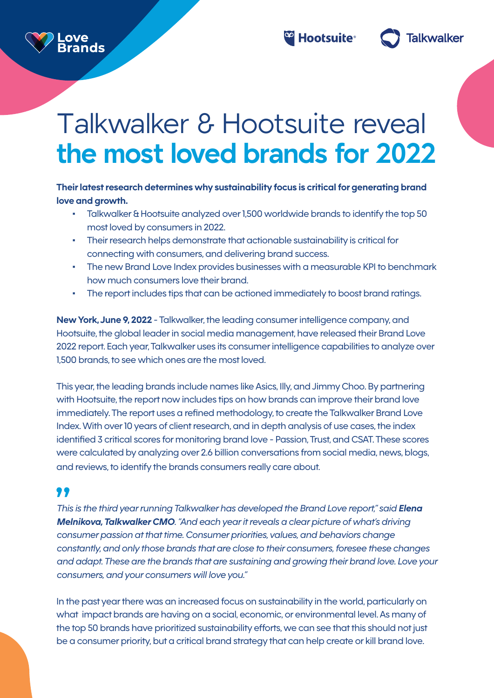

**Talkwalker** 

# Talkwalker & Hootsuite reveal **the most loved brands for 2022**

### Their latest research determines why sustainability focus is critical for generating brand love and growth.

- Talkwalker & Hootsuite analyzed over 1,500 worldwide brands to identify the top 50 most loved by consumers in 2022.
- Their research helps demonstrate that actionable sustainability is critical for connecting with consumers, and delivering brand success.
- The new Brand Love Index provides businesses with a measurable KPI to benchmark how much consumers love their brand
- The report includes tips that can be actioned immediately to boost brand ratings.

**New York, June 9, 2022 - Talkwalker, the leading consumer intelligence company, and** Hootsuite, the global leader in social media management, have released their Brand Love 2022 report. Each year, Talkwalker uses its consumer intelligence capabilities to analyze over 1,500 brands, to see which ones are the most loved.

This year, the leading brands include names like Asics, Illy, and Jimmy Choo. By partnering with Hootsuite, the report now includes tips on how brands can improve their brand love immediately. The report uses a refined methodology, to create the Talkwalker Brand Love Index. With over 10 years of client research, and in depth analysis of use cases, the index identified 3 critical scores for monitoring brand love - Passion, Trust, and CSAT. These scores were calculated by analyzing over 2.6 billion conversations from social media, news, blogs, and reviews, to identify the brands consumers really care about.

## 11

ove

**irands** 

*This is the third year running Talkwalker has developed the Brand Love report," said Elena Melnikova, Talkwalker CMO. "And each year it reveals a clear picture of what's driving consumer passion at that time. Consumer priorities, values, and behaviors change* constantly, and only those brands that are close to their consumers, foresee these changes and adapt. These are the brands that are sustaining and growing their brand love. Love your consumers, and your consumers will love you."

In the past year there was an increased focus on sustainability in the world, particularly on what impact brands are having on a social, economic, or environmental level. As many of the top 50 brands have prioritized sustainability efforts, we can see that this should not just be a consumer priority, but a critical brand strategy that can help create or kill brand love.